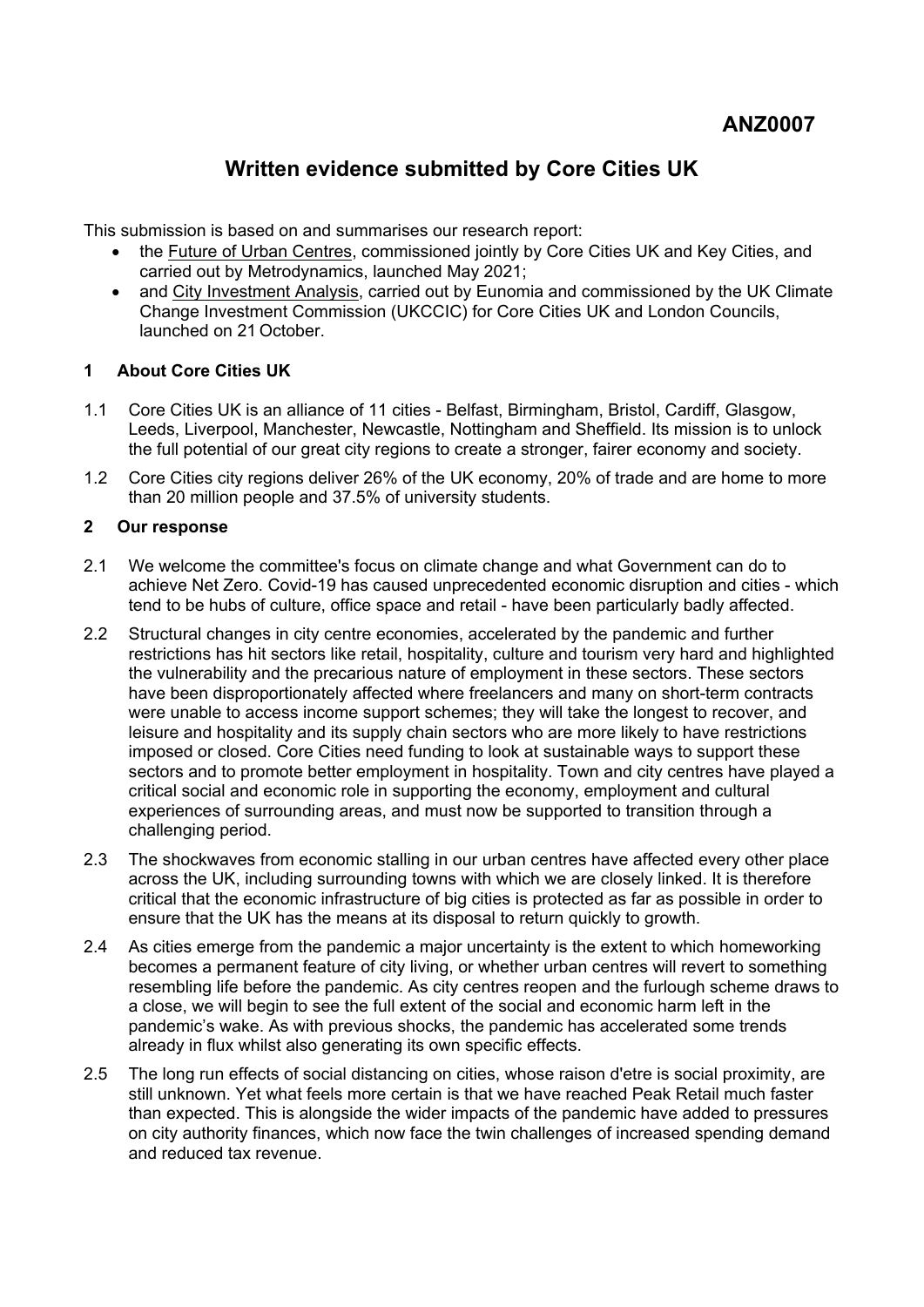# **Written evidence submitted by Core Cities UK**

This submission is based on and summarises our research report:

- the [Future](https://www.corecities.com/publications/future-urban-centres) [of](https://www.corecities.com/publications/future-urban-centres) [Urban](https://www.corecities.com/publications/future-urban-centres) [Centres,](https://www.corecities.com/publications/future-urban-centres) commissioned jointly by Core Cities UK and Key Cities, and carried out by Metrodynamics, launched May 2021;
- and [City](https://cp.catapult.org.uk/news/uk-cities-climate-investment-commission-report/) [Investment](https://cp.catapult.org.uk/news/uk-cities-climate-investment-commission-report/) [Analysis](https://cp.catapult.org.uk/news/uk-cities-climate-investment-commission-report/), carried out by Eunomia and commissioned by the UK Climate Change Investment Commission (UKCCIC) for Core Cities UK and London Councils, launched on 21 October.

# **1 About Core Cities UK**

- 1.1 Core Cities UK is an alliance of 11 cities Belfast, Birmingham, Bristol, Cardiff, Glasgow, Leeds, Liverpool, Manchester, Newcastle, Nottingham and Sheffield. Its mission is to unlock the full potential of our great city regions to create a stronger, fairer economy and society.
- 1.2 Core Cities city regions deliver 26% of the UK economy, 20% of trade and are home to more than 20 million people and 37.5% of university students.

# **2 Our response**

- 2.1 We welcome the committee's focus on climate change and what Government can do to achieve Net Zero. Covid-19 has caused unprecedented economic disruption and cities - which tend to be hubs of culture, office space and retail - have been particularly badly affected.
- 2.2 Structural changes in city centre economies, accelerated by the pandemic and further restrictions has hit sectors like retail, hospitality, culture and tourism very hard and highlighted the vulnerability and the precarious nature of employment in these sectors. These sectors have been disproportionately affected where freelancers and many on short-term contracts were unable to access income support schemes; they will take the longest to recover, and leisure and hospitality and its supply chain sectors who are more likely to have restrictions imposed or closed. Core Cities need funding to look at sustainable ways to support these sectors and to promote better employment in hospitality. Town and city centres have played a critical social and economic role in supporting the economy, employment and cultural experiences of surrounding areas, and must now be supported to transition through a challenging period.
- 2.3 The shockwaves from economic stalling in our urban centres have affected every other place across the UK, including surrounding towns with which we are closely linked. It is therefore critical that the economic infrastructure of big cities is protected as far as possible in order to ensure that the UK has the means at its disposal to return quickly to growth.
- 2.4 As cities emerge from the pandemic a major uncertainty is the extent to which homeworking becomes a permanent feature of city living, or whether urban centres will revert to something resembling life before the pandemic. As city centres reopen and the furlough scheme draws to a close, we will begin to see the full extent of the social and economic harm left in the pandemic's wake. As with previous shocks, the pandemic has accelerated some trends already in flux whilst also generating its own specific effects.
- 2.5 The long run effects of social distancing on cities, whose raison d'etre is social proximity, are still unknown. Yet what feels more certain is that we have reached Peak Retail much faster than expected. This is alongside the wider impacts of the pandemic have added to pressures on city authority finances, which now face the twin challenges of increased spending demand and reduced tax revenue.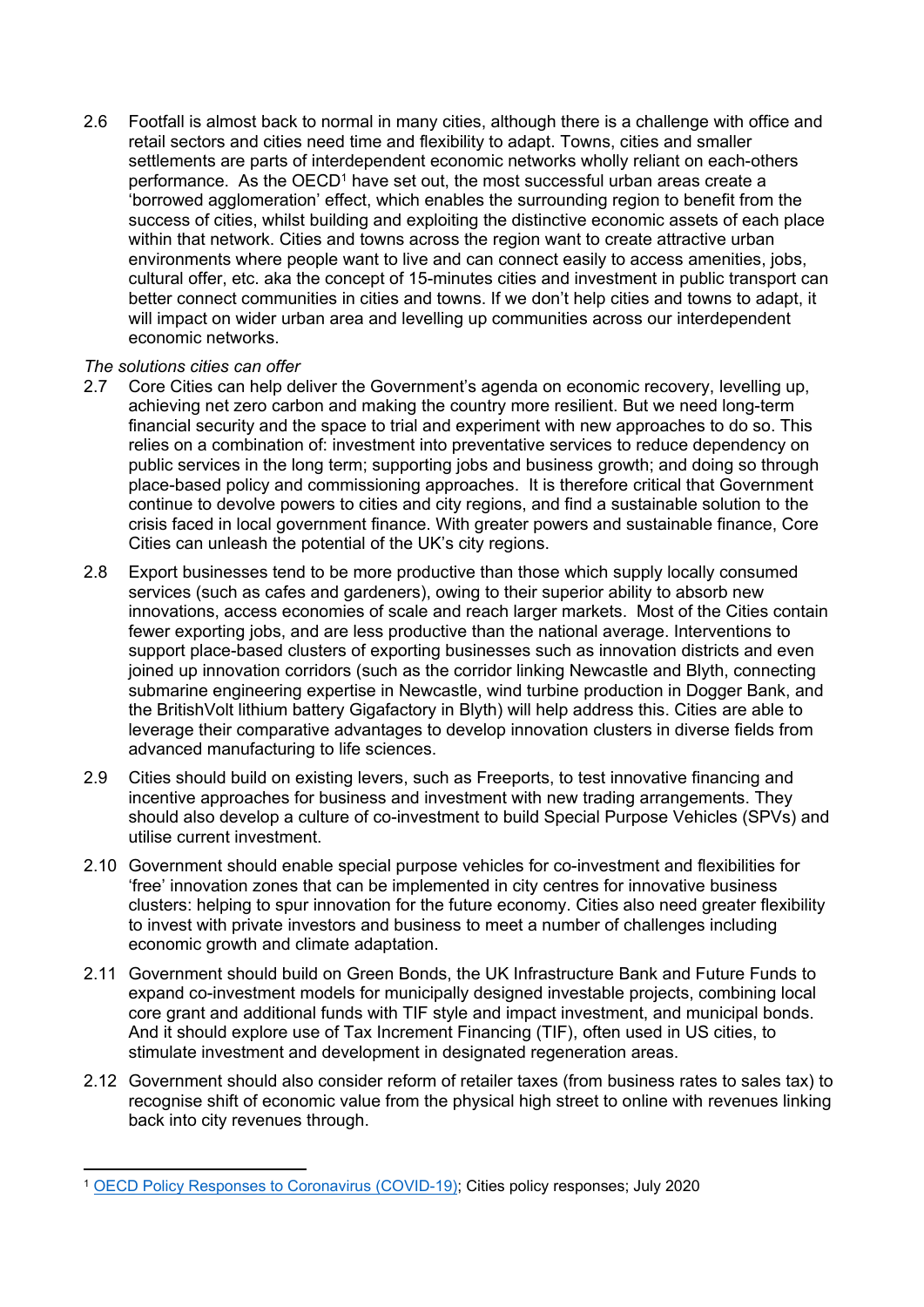2.6 Footfall is almost back to normal in many cities, although there is a challenge with office and retail sectors and cities need time and flexibility to adapt. Towns, cities and smaller settlements are parts of interdependent economic networks wholly reliant on each-others performance. As the  $OECD<sup>1</sup>$  have set out, the most successful urban areas create a 'borrowed agglomeration' effect, which enables the surrounding region to benefit from the success of cities, whilst building and exploiting the distinctive economic assets of each place within that network. Cities and towns across the region want to create attractive urban environments where people want to live and can connect easily to access amenities, jobs, cultural offer, etc. aka the concept of 15-minutes cities and investment in public transport can better connect communities in cities and towns. If we don't help cities and towns to adapt, it will impact on wider urban area and levelling up communities across our interdependent economic networks.

# *The solutions cities can offer*

- 2.7 Core Cities can help deliver the Government's agenda on economic recovery, levelling up, achieving net zero carbon and making the country more resilient. But we need long-term financial security and the space to trial and experiment with new approaches to do so. This relies on a combination of: investment into preventative services to reduce dependency on public services in the long term; supporting jobs and business growth; and doing so through place-based policy and commissioning approaches. It is therefore critical that Government continue to devolve powers to cities and city regions, and find a sustainable solution to the crisis faced in local government finance. With greater powers and sustainable finance, Core Cities can unleash the potential of the UK's city regions.
- 2.8 Export businesses tend to be more productive than those which supply locally consumed services (such as cafes and gardeners), owing to their superior ability to absorb new innovations, access economies of scale and reach larger markets. Most of the Cities contain fewer exporting jobs, and are less productive than the national average. Interventions to support place-based clusters of exporting businesses such as innovation districts and even joined up innovation corridors (such as the corridor linking Newcastle and Blyth, connecting submarine engineering expertise in Newcastle, wind turbine production in Dogger Bank, and the BritishVolt lithium battery Gigafactory in Blyth) will help address this. Cities are able to leverage their comparative advantages to develop innovation clusters in diverse fields from advanced manufacturing to life sciences.
- 2.9 Cities should build on existing levers, such as Freeports, to test innovative financing and incentive approaches for business and investment with new trading arrangements. They should also develop a culture of co-investment to build Special Purpose Vehicles (SPVs) and utilise current investment.
- 2.10 Government should enable special purpose vehicles for co-investment and flexibilities for 'free' innovation zones that can be implemented in city centres for innovative business clusters: helping to spur innovation for the future economy. Cities also need greater flexibility to invest with private investors and business to meet a number of challenges including economic growth and climate adaptation.
- 2.11 Government should build on Green Bonds, the UK Infrastructure Bank and Future Funds to expand co-investment models for municipally designed investable projects, combining local core grant and additional funds with TIF style and impact investment, and municipal bonds. And it should explore use of Tax Increment Financing (TIF), often used in US cities, to stimulate investment and development in designated regeneration areas.
- 2.12 Government should also consider reform of retailer taxes (from business rates to sales tax) to recognise shift of economic value from the physical high street to online with revenues linking back into city revenues through.

<sup>1</sup> [OECD](https://www.oecd.org/coronavirus/en/policy-responses) [Policy](https://www.oecd.org/coronavirus/en/policy-responses) [Responses](https://www.oecd.org/coronavirus/en/policy-responses) [to](https://www.oecd.org/coronavirus/en/policy-responses) [Coronavirus](https://www.oecd.org/coronavirus/en/policy-responses) [\(COVID-19\);](https://www.oecd.org/coronavirus/en/policy-responses) Cities policy responses; July 2020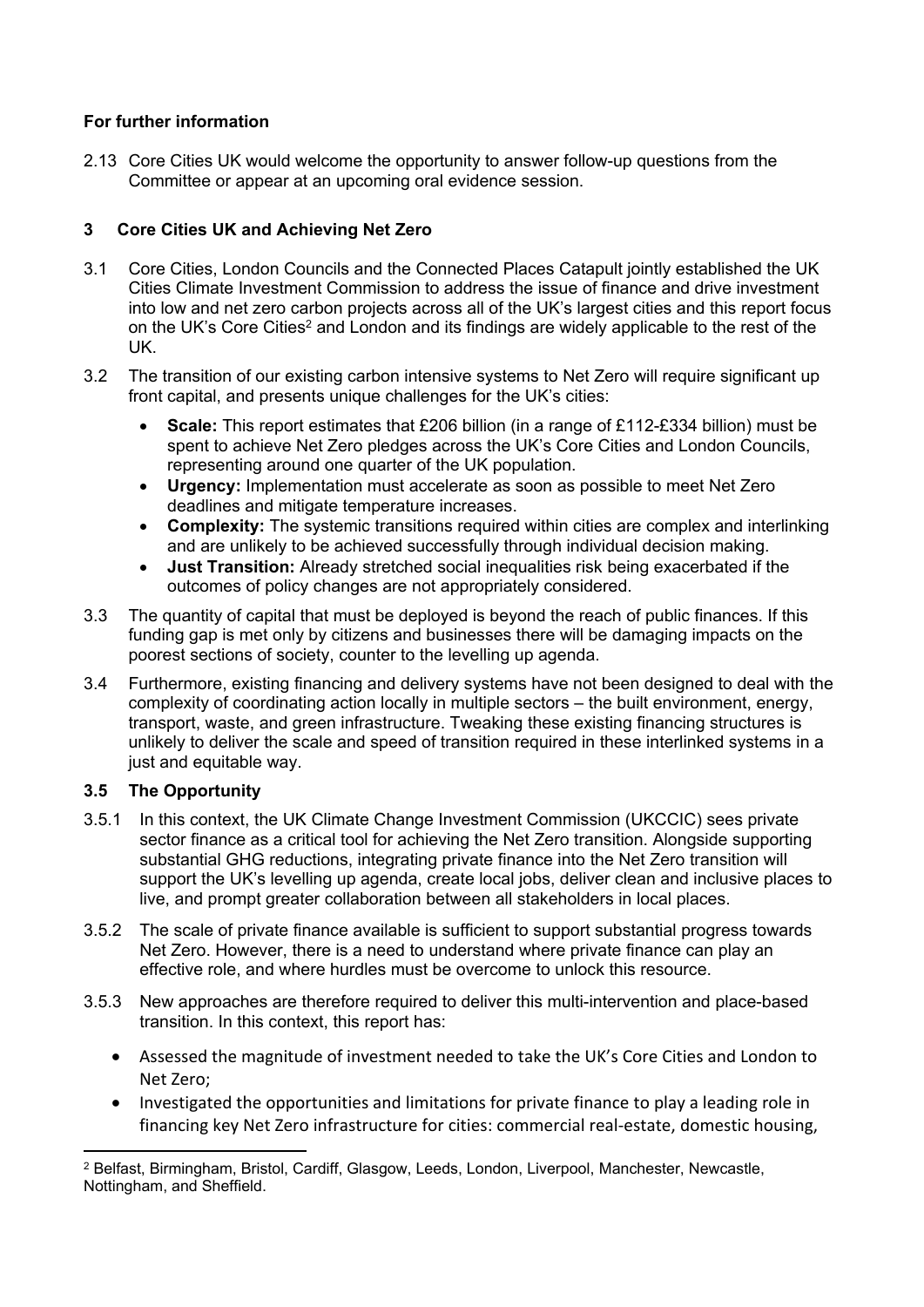# **For further information**

2.13 Core Cities UK would welcome the opportunity to answer follow-up questions from the Committee or appear at an upcoming oral evidence session.

# **3 Core Cities UK and Achieving Net Zero**

- 3.1 Core Cities, London Councils and the Connected Places Catapult jointly established the UK Cities Climate Investment Commission to address the issue of finance and drive investment into low and net zero carbon projects across all of the UK's largest cities and this report focus on the UK's Core Cities<sup>2</sup> and London and its findings are widely applicable to the rest of the UK.
- 3.2 The transition of our existing carbon intensive systems to Net Zero will require significant up front capital, and presents unique challenges for the UK's cities:
	- **Scale:** This report estimates that £206 billion (in a range of £112-£334 billion) must be spent to achieve Net Zero pledges across the UK's Core Cities and London Councils, representing around one quarter of the UK population.
	- **Urgency:** Implementation must accelerate as soon as possible to meet Net Zero deadlines and mitigate temperature increases.
	- **Complexity:** The systemic transitions required within cities are complex and interlinking and are unlikely to be achieved successfully through individual decision making.
	- **Just Transition:** Already stretched social inequalities risk being exacerbated if the outcomes of policy changes are not appropriately considered.
- 3.3 The quantity of capital that must be deployed is beyond the reach of public finances. If this funding gap is met only by citizens and businesses there will be damaging impacts on the poorest sections of society, counter to the levelling up agenda.
- 3.4 Furthermore, existing financing and delivery systems have not been designed to deal with the complexity of coordinating action locally in multiple sectors – the built environment, energy, transport, waste, and green infrastructure. Tweaking these existing financing structures is unlikely to deliver the scale and speed of transition required in these interlinked systems in a just and equitable way.

# **3.5 The Opportunity**

- 3.5.1 In this context, the UK Climate Change Investment Commission (UKCCIC) sees private sector finance as a critical tool for achieving the Net Zero transition. Alongside supporting substantial GHG reductions, integrating private finance into the Net Zero transition will support the UK's levelling up agenda, create local jobs, deliver clean and inclusive places to live, and prompt greater collaboration between all stakeholders in local places.
- 3.5.2 The scale of private finance available is sufficient to support substantial progress towards Net Zero. However, there is a need to understand where private finance can play an effective role, and where hurdles must be overcome to unlock this resource.
- 3.5.3 New approaches are therefore required to deliver this multi-intervention and place-based transition. In this context, this report has:
	- Assessed the magnitude of investment needed to take the UK's Core Cities and London to Net Zero;
	- Investigated the opportunities and limitations for private finance to play a leading role in financing key Net Zero infrastructure for cities: commercial real-estate, domestic housing,

<sup>2</sup> Belfast, Birmingham, Bristol, Cardiff, Glasgow, Leeds, London, Liverpool, Manchester, Newcastle, Nottingham, and Sheffield.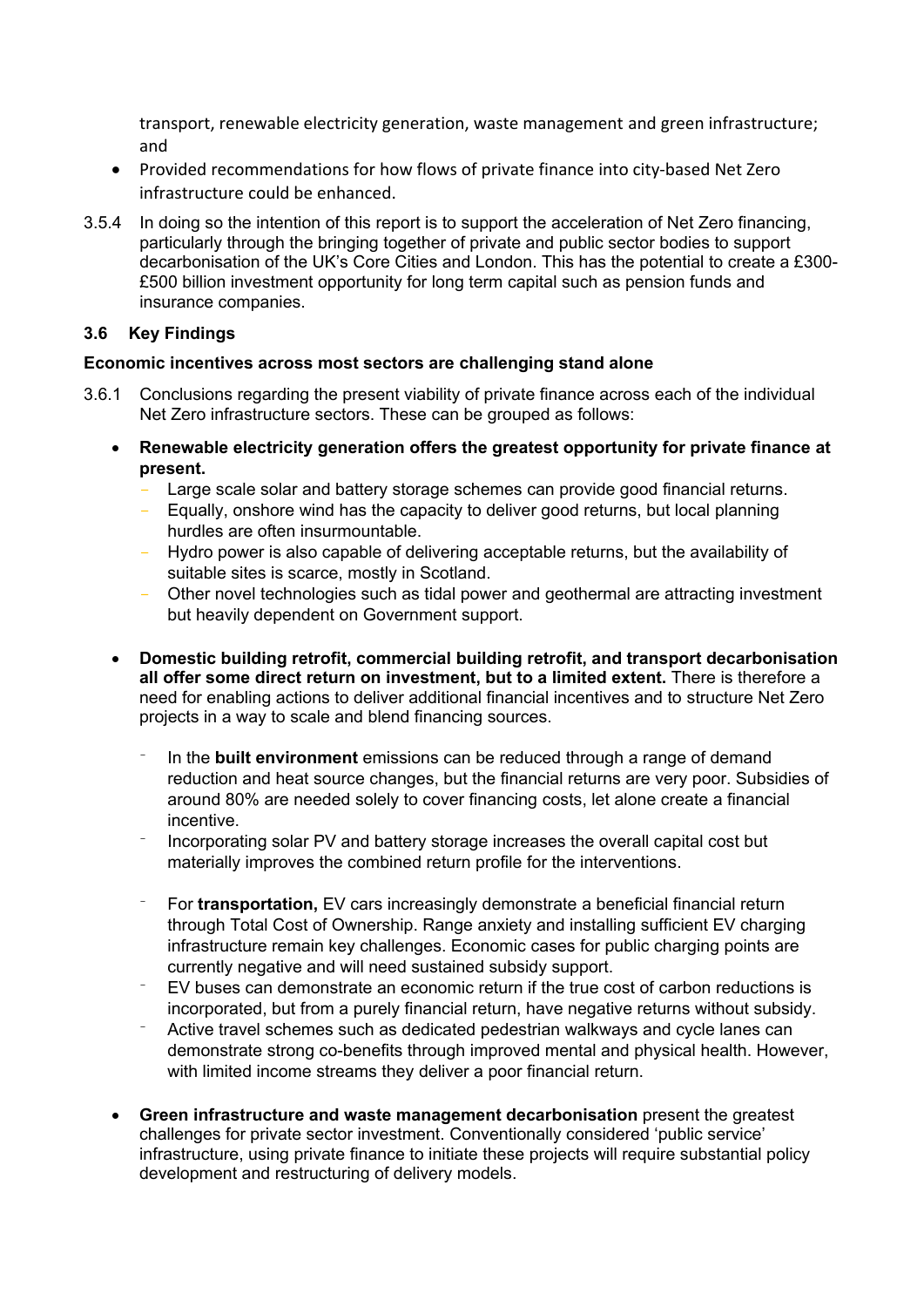transport, renewable electricity generation, waste management and green infrastructure; and

- Provided recommendations for how flows of private finance into city-based Net Zero infrastructure could be enhanced.
- 3.5.4 In doing so the intention of this report is to support the acceleration of Net Zero financing, particularly through the bringing together of private and public sector bodies to support decarbonisation of the UK's Core Cities and London. This has the potential to create a £300- £500 billion investment opportunity for long term capital such as pension funds and insurance companies.

# **3.6 Key Findings**

## **Economic incentives across most sectors are challenging stand alone**

- 3.6.1 Conclusions regarding the present viability of private finance across each of the individual Net Zero infrastructure sectors. These can be grouped as follows:
	- **Renewable electricity generation offers the greatest opportunity for private finance at present.**
		- Large scale solar and battery storage schemes can provide good financial returns.
		- Equally, onshore wind has the capacity to deliver good returns, but local planning hurdles are often insurmountable.
		- Hydro power is also capable of delivering acceptable returns, but the availability of suitable sites is scarce, mostly in Scotland.
		- Other novel technologies such as tidal power and geothermal are attracting investment but heavily dependent on Government support.
	- **Domestic building retrofit, commercial building retrofit, and transport decarbonisation all offer some direct return on investment, but to a limited extent.** There is therefore a need for enabling actions to deliver additional financial incentives and to structure Net Zero projects in a way to scale and blend financing sources.
		- In the **built environment** emissions can be reduced through a range of demand reduction and heat source changes, but the financial returns are very poor. Subsidies of around 80% are needed solely to cover financing costs, let alone create a financial incentive.
		- Incorporating solar PV and battery storage increases the overall capital cost but materially improves the combined return profile for the interventions.
		- For **transportation,** EV cars increasingly demonstrate a beneficial financial return through Total Cost of Ownership. Range anxiety and installing sufficient EV charging infrastructure remain key challenges. Economic cases for public charging points are currently negative and will need sustained subsidy support.
		- EV buses can demonstrate an economic return if the true cost of carbon reductions is incorporated, but from a purely financial return, have negative returns without subsidy.
		- Active travel schemes such as dedicated pedestrian walkways and cycle lanes can demonstrate strong co-benefits through improved mental and physical health. However, with limited income streams they deliver a poor financial return.
	- **Green infrastructure and waste management decarbonisation** present the greatest challenges for private sector investment. Conventionally considered 'public service' infrastructure, using private finance to initiate these projects will require substantial policy development and restructuring of delivery models.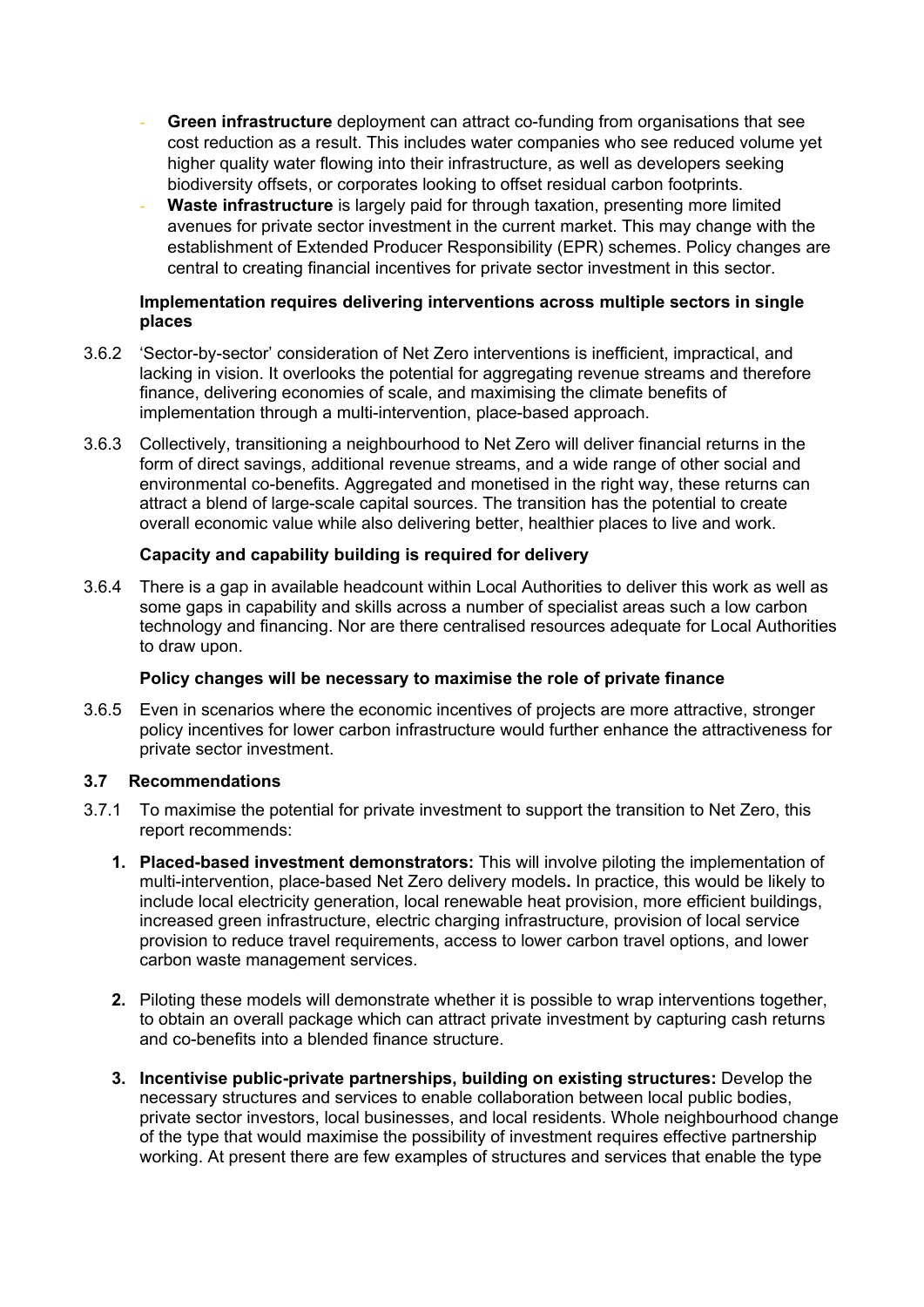- **Green infrastructure** deployment can attract co-funding from organisations that see cost reduction as a result. This includes water companies who see reduced volume yet higher quality water flowing into their infrastructure, as well as developers seeking biodiversity offsets, or corporates looking to offset residual carbon footprints.
- **Waste infrastructure** is largely paid for through taxation, presenting more limited avenues for private sector investment in the current market. This may change with the establishment of Extended Producer Responsibility (EPR) schemes. Policy changes are central to creating financial incentives for private sector investment in this sector.

#### **Implementation requires delivering interventions across multiple sectors in single places**

- 3.6.2 'Sector-by-sector' consideration of Net Zero interventions is inefficient, impractical, and lacking in vision. It overlooks the potential for aggregating revenue streams and therefore finance, delivering economies of scale, and maximising the climate benefits of implementation through a multi-intervention, place-based approach.
- 3.6.3 Collectively, transitioning a neighbourhood to Net Zero will deliver financial returns in the form of direct savings, additional revenue streams, and a wide range of other social and environmental co-benefits. Aggregated and monetised in the right way, these returns can attract a blend of large-scale capital sources. The transition has the potential to create overall economic value while also delivering better, healthier places to live and work.

# **Capacity and capability building is required for delivery**

3.6.4 There is a gap in available headcount within Local Authorities to deliver this work as well as some gaps in capability and skills across a number of specialist areas such a low carbon technology and financing. Nor are there centralised resources adequate for Local Authorities to draw upon.

## **Policy changes will be necessary to maximise the role of private finance**

3.6.5 Even in scenarios where the economic incentives of projects are more attractive, stronger policy incentives for lower carbon infrastructure would further enhance the attractiveness for private sector investment.

## **3.7 Recommendations**

- 3.7.1 To maximise the potential for private investment to support the transition to Net Zero, this report recommends:
	- **1. Placed-based investment demonstrators:** This will involve piloting the implementation of multi-intervention, place-based Net Zero delivery models**.** In practice, this would be likely to include local electricity generation, local renewable heat provision, more efficient buildings, increased green infrastructure, electric charging infrastructure, provision of local service provision to reduce travel requirements, access to lower carbon travel options, and lower carbon waste management services.
	- **2.** Piloting these models will demonstrate whether it is possible to wrap interventions together, to obtain an overall package which can attract private investment by capturing cash returns and co-benefits into a blended finance structure.
	- **3. Incentivise public-private partnerships, building on existing structures:** Develop the necessary structures and services to enable collaboration between local public bodies, private sector investors, local businesses, and local residents. Whole neighbourhood change of the type that would maximise the possibility of investment requires effective partnership working. At present there are few examples of structures and services that enable the type